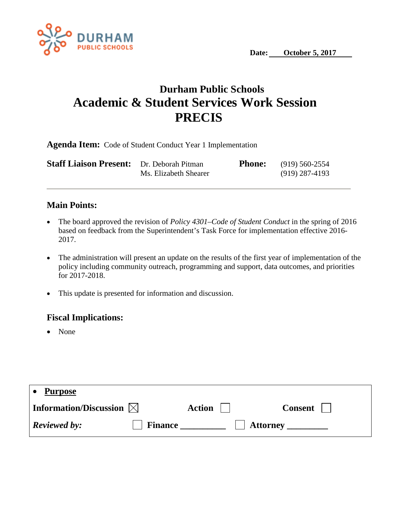

## **Durham Public Schools Academic & Student Services Work Session PRECIS**

**Agenda Item:** Code of Student Conduct Year 1 Implementation

| <b>Staff Liaison Present:</b> Dr. Deborah Pitman |                       | <b>Phone:</b> $(919) 560-2554$ |
|--------------------------------------------------|-----------------------|--------------------------------|
|                                                  | Ms. Elizabeth Shearer | $(919)$ 287-4193               |

## **Main Points:**

- The board approved the revision of *Policy 4301–Code of Student Conduct* in the spring of 2016 based on feedback from the Superintendent's Task Force for implementation effective 2016- 2017.
- The administration will present an update on the results of the first year of implementation of the policy including community outreach, programming and support, data outcomes, and priorities for 2017-2018.
- This update is presented for information and discussion.

## **Fiscal Implications:**

• None

| <b>Purpose</b>                     |                |               |                 |                |
|------------------------------------|----------------|---------------|-----------------|----------------|
| Information/Discussion $\boxtimes$ |                | <b>Action</b> |                 | <b>Consent</b> |
| <b>Reviewed by:</b>                | <b>Finance</b> |               | <b>Attorney</b> |                |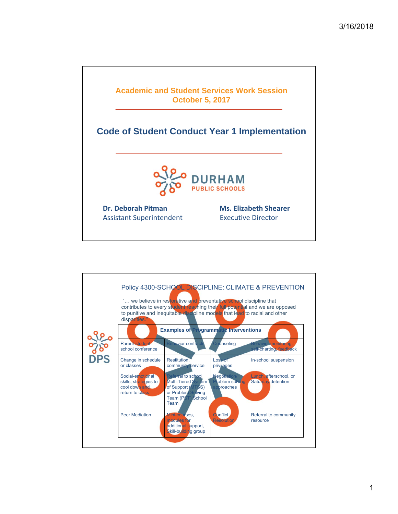

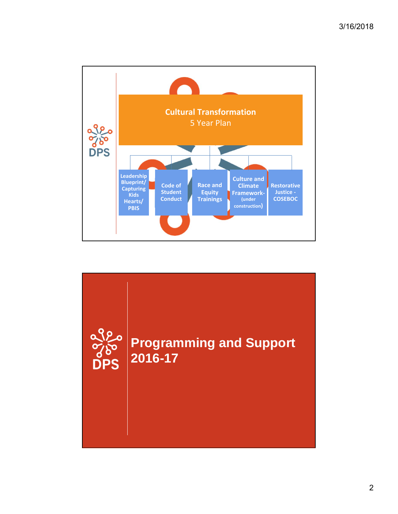

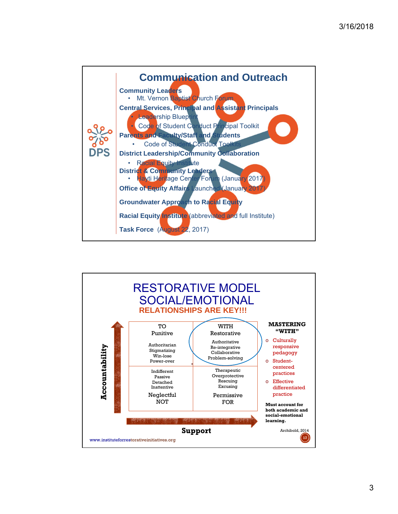

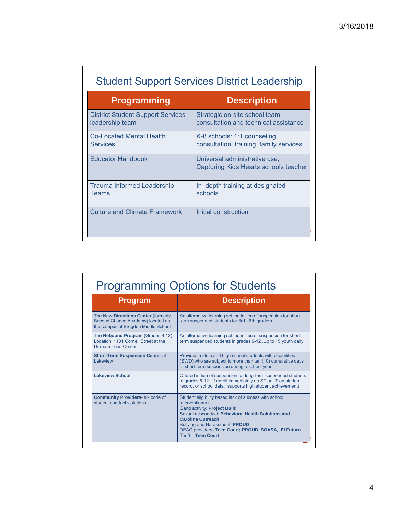| <b>Student Support Services District Leadership</b>         |                                                                         |  |  |  |
|-------------------------------------------------------------|-------------------------------------------------------------------------|--|--|--|
| <b>Programming</b>                                          | <b>Description</b>                                                      |  |  |  |
| <b>District Student Support Services</b><br>leadership team | Strategic on-site school team<br>consultation and technical assistance  |  |  |  |
| <b>Co-Located Mental Health</b><br><b>Services</b>          | K-8 schools: 1:1 counseling,<br>consultation, training, family services |  |  |  |
| <b>Educator Handbook</b>                                    | Universal administrative use;<br>Capturing Kids Hearts schools teacher  |  |  |  |
| <b>Trauma Informed Leadership</b><br>Teams                  | In-depth training at designated<br>schools                              |  |  |  |
| <b>Culture and Climate Framework</b>                        | Initial construction                                                    |  |  |  |

| <b>Program</b>                                                                                                  | <b>Description</b>                                                                                                                                                                                                                                                                                               |
|-----------------------------------------------------------------------------------------------------------------|------------------------------------------------------------------------------------------------------------------------------------------------------------------------------------------------------------------------------------------------------------------------------------------------------------------|
| The New Directions Center (formerly<br>Second Chance Academy) located on<br>the campus of Brogden Middle School | An alternative learning setting in lieu of suspension for short-<br>term suspended students for 3rd - 8th graders.                                                                                                                                                                                               |
| The Rebound Program (Grades 9-12)<br>Location: 1101 Cornell Street at the<br>Durham Teen Center                 | An alternative learning setting in lieu of suspension for short-<br>term suspended students in grades 9-12 . Up to 15 youth daily.                                                                                                                                                                               |
| <b>Short-Term Suspension Center at</b><br>I akeview                                                             | Provides middle and high school students with disabilities<br>(SWD) who are subject to more than ten (10) cumulative days<br>of short-term suspension during a school year                                                                                                                                       |
| <b>Lakeview School</b>                                                                                          | Offered in lieu of suspension for long-term suspended students<br>in grades 6-12. If enroll immediately no ST or LT on student<br>record, or school data; supports high student achievement).                                                                                                                    |
| <b>Community Providers-</b> six code of<br>student conduct violations                                           | Student eligibility based lack of success with school<br>intervention(s)<br>Gang activity: Project Build<br>Sexual misconduct: Behavioral Health Solutions and<br><b>Carolina Outreach</b><br><b>Bullying and Harassment: PROUD</b><br>DEAC providers- Teen Court; PROUD, SOASA, El Futuro<br>Theft - Teen Court |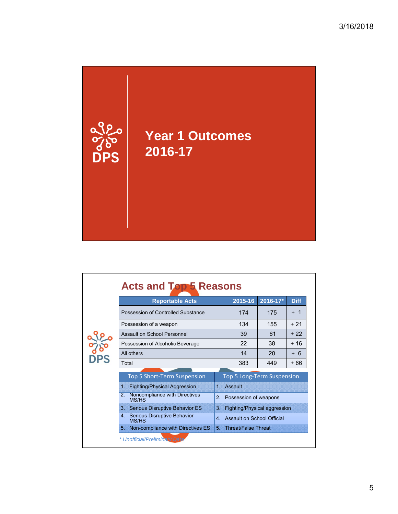

|            | <b>Reportable Acts</b>                                        |                | 2015-16                    | 2016-17*                     | <b>Diff</b> |
|------------|---------------------------------------------------------------|----------------|----------------------------|------------------------------|-------------|
|            | Possession of Controlled Substance                            |                | 174                        | 175                          | + 1         |
|            | Possession of a weapon                                        | 134            | 155                        | $+21$                        |             |
|            | Assault on School Personnel                                   | 39             | 61                         | $+22$                        |             |
|            | Possession of Alcoholic Beverage                              |                | 22                         | 38                           | + 16        |
| ႕ o<br>)PS | All others                                                    | 14             | 20                         | + 6                          |             |
|            | Total                                                         |                | 383                        | 449                          | + 66        |
|            | <b>Top 5 Short-Term Suspension</b>                            |                |                            | Top 5 Long-Term Suspension   |             |
|            | <b>Fighting/Physical Aggression</b><br>$\mathbf 1$            | 1. Assault     |                            |                              |             |
|            | 2.<br>Noncompliance with Directives<br><b>MS/HS</b>           | 2.             | Possession of weapons      |                              |             |
|            | <b>Serious Disruptive Behavior ES</b><br>3 <sup>1</sup>       | 3.             |                            | Fighting/Physical aggression |             |
|            | Serious Disruptive Behavior<br>4 <sup>1</sup><br><b>MS/HS</b> | $\overline{4}$ | Assault on School Official |                              |             |
|            | Non-compliance with Directives ES<br>5.                       |                | 5. Threat/False Threat     |                              |             |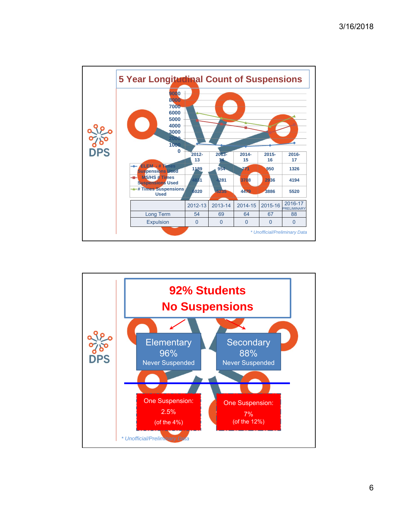

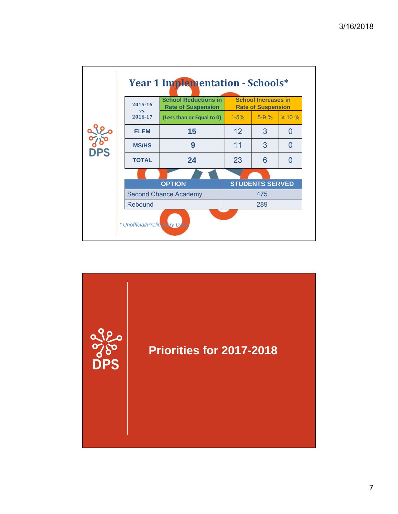|           | 2015-16<br>VS.               | <b>School Reductions in</b><br><b>Rate of Suspension</b> | <b>School Increases in</b><br><b>Rate of Suspension</b> |          |              |
|-----------|------------------------------|----------------------------------------------------------|---------------------------------------------------------|----------|--------------|
|           | 2016-17                      | (Less than or Equal to 0)                                | $1 - 5%$                                                | $5 - 9%$ | $\geq 10 \%$ |
|           | <b>ELEM</b>                  | 15                                                       | 12                                                      | 3        | $\Omega$     |
| <b>PS</b> | <b>MS/HS</b>                 | 9                                                        | 11                                                      | 3        | $\Omega$     |
|           | <b>TOTAL</b>                 | 24                                                       | 23                                                      | 6        | O            |
|           |                              |                                                          |                                                         |          |              |
|           | <b>OPTION</b>                |                                                          | <b>STUDENTS SERVED</b>                                  |          |              |
|           | <b>Second Chance Academy</b> | 475                                                      |                                                         |          |              |
|           | Rebound                      |                                                          | 289                                                     |          |              |

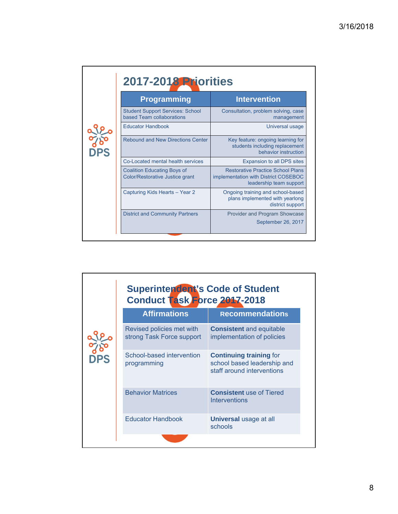|                          | <b>Programming</b>                                                    | <b>Intervention</b>                                                                                         |
|--------------------------|-----------------------------------------------------------------------|-------------------------------------------------------------------------------------------------------------|
|                          | <b>Student Support Services: School</b><br>based Team collaborations  | Consultation, problem solving, case<br>management                                                           |
|                          | <b>Educator Handbook</b>                                              | Universal usage                                                                                             |
| <b>POST</b><br><b>PS</b> | <b>Rebound and New Directions Center</b>                              | Key feature: ongoing learning for<br>students including replacement<br>behavior instruction                 |
|                          | Co-Located mental health services                                     | Expansion to all DPS sites                                                                                  |
|                          | <b>Coalition Educating Boys of</b><br>Color/Restorative Justice grant | <b>Restorative Practice School Plans</b><br>implementation with District COSEBOC<br>leadership team support |
|                          | Capturing Kids Hearts - Year 2                                        | Ongoing training and school-based<br>plans implemented with yearlong<br>district support                    |
|                          | <b>District and Community Partners</b>                                | Provider and Program Showcase                                                                               |
|                          |                                                                       | September 26, 2017                                                                                          |

|           | <b>Superintendent's Code of Student</b><br>Conduct Task Force 2017-2018 |                                                                                             |  |  |  |
|-----------|-------------------------------------------------------------------------|---------------------------------------------------------------------------------------------|--|--|--|
|           | <b>Affirmations</b>                                                     | <b>Recommendations</b>                                                                      |  |  |  |
|           | Revised policies met with<br>strong Task Force support                  | <b>Consistent and equitable</b><br>implementation of policies                               |  |  |  |
| <b>PS</b> | School-based intervention<br>programming                                | <b>Continuing training for</b><br>school based leadership and<br>staff around interventions |  |  |  |
|           | <b>Behavior Matrices</b>                                                | <b>Consistent</b> use of Tiered<br>Interventions                                            |  |  |  |
|           | <b>Educator Handbook</b>                                                | <b>Universal usage at all</b><br>schools                                                    |  |  |  |
|           |                                                                         |                                                                                             |  |  |  |